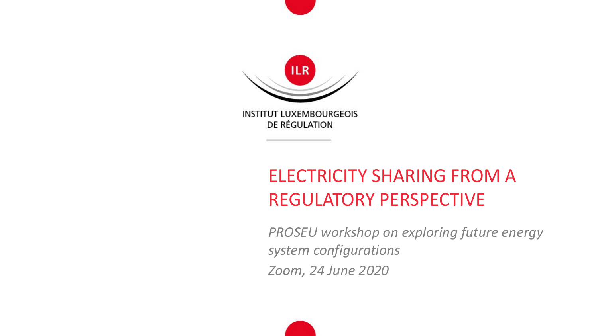

DE RÉGULATION

# ELECTRICITY SHARING FROM A REGULATORY PERSPECTIVE

*PROSEU workshop on exploring future energy system configurations Zoom, 24 June 2020*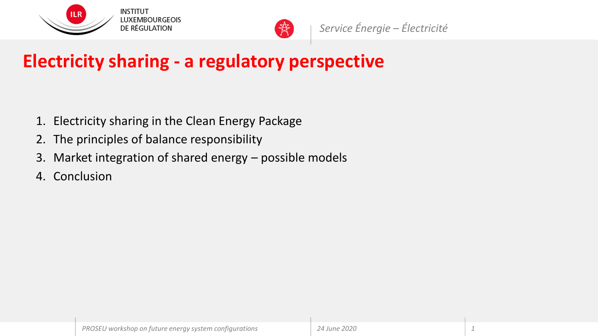



# **Electricity sharing - a regulatory perspective**

- 1. Electricity sharing in the Clean Energy Package
- 2. The principles of balance responsibility
- 3. Market integration of shared energy possible models
- 4. Conclusion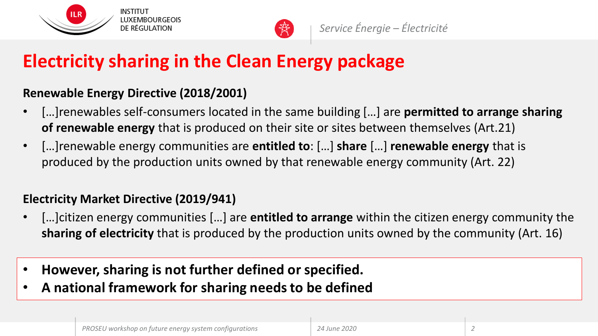



# **Electricity sharing in the Clean Energy package**

#### **Renewable Energy Directive (2018/2001)**

- […]renewables self-consumers located in the same building […] are **permitted to arrange sharing of renewable energy** that is produced on their site or sites between themselves (Art.21)
- […]renewable energy communities are **entitled to**: […] **share** […] **renewable energy** that is produced by the production units owned by that renewable energy community (Art. 22)

#### **Electricity Market Directive (2019/941)**

- […]citizen energy communities […] are **entitled to arrange** within the citizen energy community the **sharing of electricity** that is produced by the production units owned by the community (Art. 16)
- **However, sharing is not further defined or specified.**
- **A national framework for sharing needs to be defined**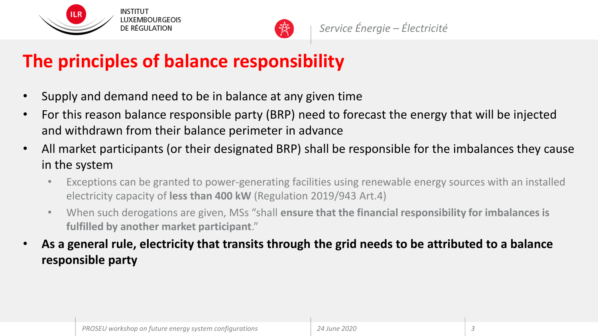



# **The principles of balance responsibility**

- Supply and demand need to be in balance at any given time
- For this reason balance responsible party (BRP) need to forecast the energy that will be injected and withdrawn from their balance perimeter in advance
- All market participants (or their designated BRP) shall be responsible for the imbalances they cause in the system
	- Exceptions can be granted to power-generating facilities using renewable energy sources with an installed electricity capacity of **less than 400 kW** (Regulation 2019/943 Art.4)
	- When such derogations are given, MSs "shall **ensure that the financial responsibility for imbalances is fulfilled by another market participant**."
- **As a general rule, electricity that transits through the grid needs to be attributed to a balance responsible party**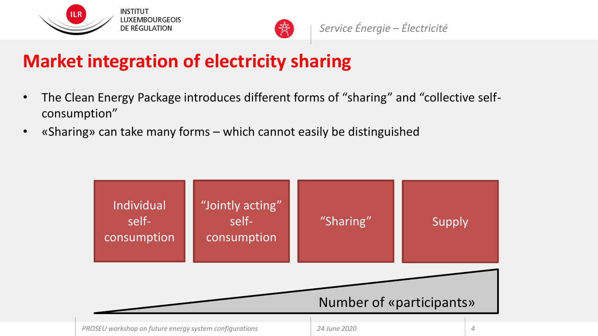



### **Market integration of electricity sharing**

- The Clean Energy Package introduces different forms of "sharing" and "collective selfconsumption"
- «Sharing» can take many forms which cannot easily be distinguished

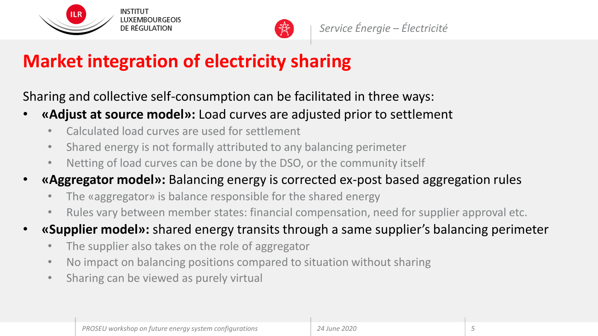



# **Market integration of electricity sharing**

Sharing and collective self-consumption can be facilitated in three ways:

- **«Adjust at source model»:** Load curves are adjusted prior to settlement
	- Calculated load curves are used for settlement
	- Shared energy is not formally attributed to any balancing perimeter
	- Netting of load curves can be done by the DSO, or the community itself
- **«Aggregator model»:** Balancing energy is corrected ex-post based aggregation rules
	- The «aggregator» is balance responsible for the shared energy
	- Rules vary between member states: financial compensation, need for supplier approval etc.
- **«Supplier model»:** shared energy transits through a same supplier's balancing perimeter
	- The supplier also takes on the role of aggregator
	- No impact on balancing positions compared to situation without sharing
	- Sharing can be viewed as purely virtual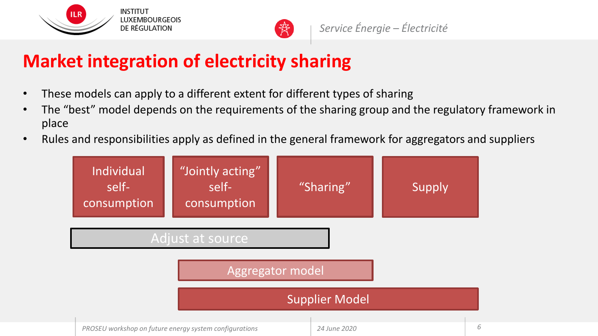



### **Market integration of electricity sharing**

- These models can apply to a different extent for different types of sharing
- The "best" model depends on the requirements of the sharing group and the regulatory framework in place
- Rules and responsibilities apply as defined in the general framework for aggregators and suppliers

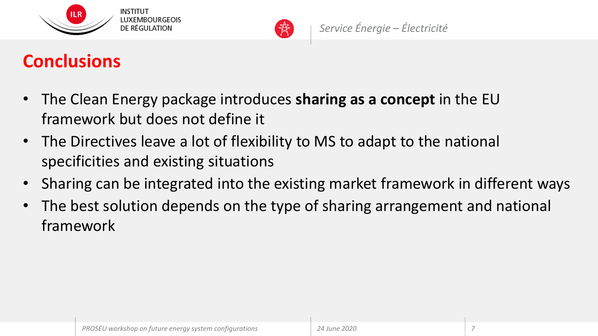



# **Conclusions**

- The Clean Energy package introduces **sharing as a concept** in the EU framework but does not define it
- The Directives leave a lot of flexibility to MS to adapt to the national specificities and existing situations
- Sharing can be integrated into the existing market framework in different ways
- The best solution depends on the type of sharing arrangement and national framework